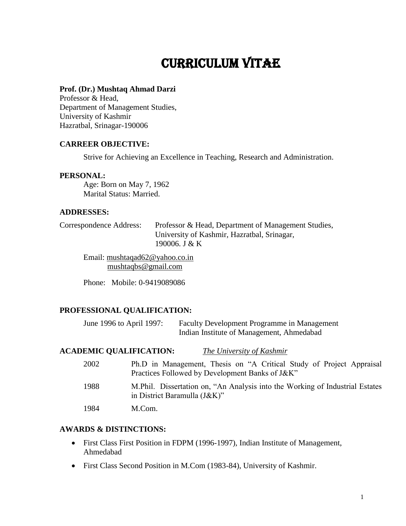# Curriculum Vitae

#### **Prof. (Dr.) Mushtaq Ahmad Darzi**

Professor & Head, Department of Management Studies, University of Kashmir Hazratbal, Srinagar-190006

#### **CARREER OBJECTIVE:**

Strive for Achieving an Excellence in Teaching, Research and Administration.

#### **PERSONAL:**

 Age: Born on May 7, 1962 Marital Status: Married.

#### **ADDRESSES:**

Correspondence Address: Professor & Head, Department of Management Studies, University of Kashmir, Hazratbal, Srinagar, 190006. J & K

Email: [mushtaqad62@yahoo.co.in](mailto:mushtaqad62@yahoo.co.in) [mushtaqbs@gmail.com](mailto:mushtaqbs@gmail.com)

Phone: Mobile: 0-9419089086

#### **PROFESSIONAL QUALIFICATION:**

June 1996 to April 1997: Faculty Development Programme in Management Indian Institute of Management, Ahmedabad

#### **ACADEMIC QUALIFICATION:** *The University of Kashmir*

| 2002 | Ph.D in Management, Thesis on "A Critical Study of Project Appraisal<br>Practices Followed by Development Banks of J&K" |
|------|-------------------------------------------------------------------------------------------------------------------------|
| 1988 | M. Phil. Dissertation on, "An Analysis into the Working of Industrial Estates"<br>in District Baramulla (J&K)"          |
| 1984 | M.Com.                                                                                                                  |

#### **AWARDS & DISTINCTIONS:**

- First Class First Position in FDPM (1996-1997), Indian Institute of Management, Ahmedabad
- First Class Second Position in M.Com (1983-84), University of Kashmir.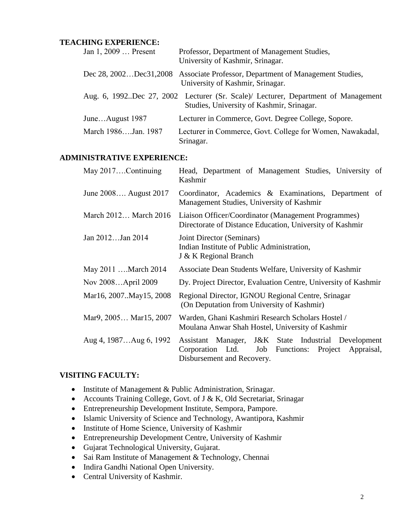#### **TEACHING EXPERIENCE:**

| Jan 1, 2009  Present    | Professor, Department of Management Studies,<br>University of Kashmir, Srinagar.                                                |
|-------------------------|---------------------------------------------------------------------------------------------------------------------------------|
| Dec 28, 2002Dec31, 2008 | Associate Professor, Department of Management Studies,<br>University of Kashmir, Srinagar.                                      |
|                         | Aug. 6, 1992. Dec 27, 2002 Lecturer (Sr. Scale) Lecturer, Department of Management<br>Studies, University of Kashmir, Srinagar. |
| JuneAugust 1987         | Lecturer in Commerce, Govt. Degree College, Sopore.                                                                             |
| March 1986Jan. 1987     | Lecturer in Commerce, Govt. College for Women, Nawakadal,<br>Srinagar.                                                          |

## **ADMINISTRATIVE EXPERIENCE:**

| May 2017Continuing     | Head, Department of Management Studies, University of<br>Kashmir                                                                              |
|------------------------|-----------------------------------------------------------------------------------------------------------------------------------------------|
| June 2008 August 2017  | Coordinator, Academics & Examinations, Department of<br>Management Studies, University of Kashmir                                             |
| March 2012 March 2016  | Liaison Officer/Coordinator (Management Programmes)<br>Directorate of Distance Education, University of Kashmir                               |
| Jan 2012Jan 2014       | Joint Director (Seminars)<br>Indian Institute of Public Administration,<br>J & K Regional Branch                                              |
| May 2011  March 2014   | Associate Dean Students Welfare, University of Kashmir                                                                                        |
| Nov 2008April 2009     | Dy. Project Director, Evaluation Centre, University of Kashmir                                                                                |
| Mar16, 2007May15, 2008 | Regional Director, IGNOU Regional Centre, Srinagar<br>(On Deputation from University of Kashmir)                                              |
| Mar9, 2005 Mar15, 2007 | Warden, Ghani Kashmiri Research Scholars Hostel /<br>Moulana Anwar Shah Hostel, University of Kashmir                                         |
| Aug 4, 1987Aug 6, 1992 | Assistant Manager, J&K State Industrial Development<br>Corporation Ltd.<br>Job Functions: Project<br>Appraisal,<br>Disbursement and Recovery. |

#### **VISITING FACULTY:**

- Institute of Management & Public Administration, Srinagar.
- Accounts Training College, Govt. of J & K, Old Secretariat, Srinagar
- Entrepreneurship Development Institute, Sempora, Pampore.
- Islamic University of Science and Technology, Awantipora, Kashmir
- Institute of Home Science, University of Kashmir
- Entrepreneurship Development Centre, University of Kashmir
- Gujarat Technological University, Gujarat.
- Sai Ram Institute of Management & Technology, Chennai
- Indira Gandhi National Open University.
- Central University of Kashmir.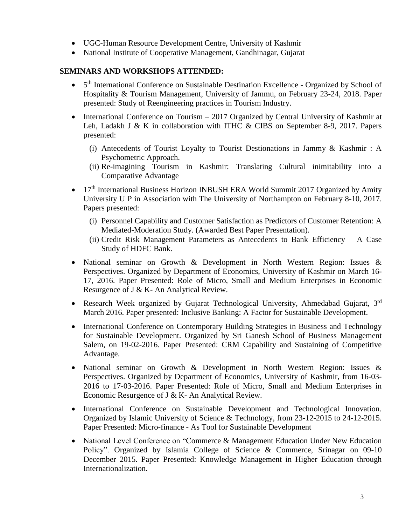- UGC-Human Resource Development Centre, University of Kashmir
- National Institute of Cooperative Management, Gandhinagar, Gujarat

# **SEMINARS AND WORKSHOPS ATTENDED:**

- 5<sup>th</sup> International Conference on Sustainable Destination Excellence Organized by School of Hospitality & Tourism Management, University of Jammu, on February 23-24, 2018. Paper presented: Study of Reengineering practices in Tourism Industry.
- International Conference on Tourism 2017 Organized by Central University of Kashmir at Leh, Ladakh J & K in collaboration with ITHC & CIBS on September 8-9, 2017. Papers presented:
	- (i) Antecedents of Tourist Loyalty to Tourist Destionations in Jammy & Kashmir : A Psychometric Approach.
	- (ii) Re-imagining Tourism in Kashmir: Translating Cultural inimitability into a Comparative Advantage
- 17<sup>th</sup> International Business Horizon INBUSH ERA World Summit 2017 Organized by Amity University U P in Association with The University of Northampton on February 8-10, 2017. Papers presented:
	- (i) Personnel Capability and Customer Satisfaction as Predictors of Customer Retention: A Mediated-Moderation Study. (Awarded Best Paper Presentation).
	- (ii) Credit Risk Management Parameters as Antecedents to Bank Efficiency A Case Study of HDFC Bank.
- National seminar on Growth & Development in North Western Region: Issues & Perspectives. Organized by Department of Economics, University of Kashmir on March 16- 17, 2016. Paper Presented: Role of Micro, Small and Medium Enterprises in Economic Resurgence of J & K- An Analytical Review.
- Research Week organized by Gujarat Technological University, Ahmedabad Gujarat, 3rd March 2016. Paper presented: Inclusive Banking: A Factor for Sustainable Development.
- International Conference on Contemporary Building Strategies in Business and Technology for Sustainable Development. Organized by Sri Ganesh School of Business Management Salem, on 19-02-2016. Paper Presented: CRM Capability and Sustaining of Competitive Advantage.
- National seminar on Growth & Development in North Western Region: Issues & Perspectives. Organized by Department of Economics, University of Kashmir, from 16-03- 2016 to 17-03-2016. Paper Presented: Role of Micro, Small and Medium Enterprises in Economic Resurgence of J & K- An Analytical Review.
- International Conference on Sustainable Development and Technological Innovation. Organized by Islamic University of Science & Technology, from 23-12-2015 to 24-12-2015. Paper Presented: Micro-finance - As Tool for Sustainable Development
- National Level Conference on "Commerce & Management Education Under New Education Policy". Organized by Islamia College of Science & Commerce, Srinagar on 09-10 December 2015. Paper Presented: Knowledge Management in Higher Education through Internationalization.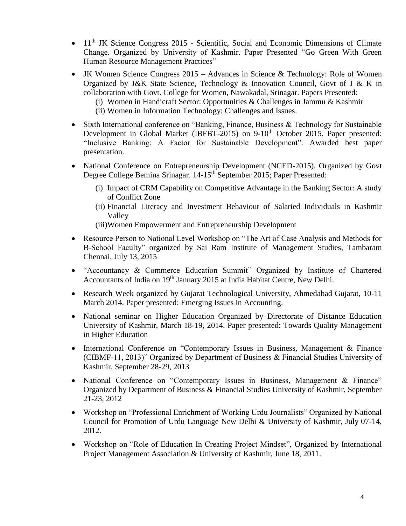- $\bullet$  11<sup>th</sup> JK Science Congress 2015 Scientific, Social and Economic Dimensions of Climate Change. Organized by University of Kashmir. Paper Presented "Go Green With Green Human Resource Management Practices"
- JK Women Science Congress 2015 Advances in Science & Technology: Role of Women Organized by J&K State Science, Technology & Innovation Council, Govt of J & K in collaboration with Govt. College for Women, Nawakadal, Srinagar. Papers Presented:
	- (i) Women in Handicraft Sector: Opportunities & Challenges in Jammu & Kashmir
	- (ii) Women in Information Technology: Challenges and Issues.
- Sixth International conference on "Banking, Finance, Business & Technology for Sustainable Development in Global Market (IBFBT-2015) on 9-10<sup>th</sup> October 2015. Paper presented: "Inclusive Banking: A Factor for Sustainable Development". Awarded best paper presentation.
- National Conference on Entrepreneurship Development (NCED-2015). Organized by Govt Degree College Bemina Srinagar. 14-15<sup>th</sup> September 2015; Paper Presented:
	- (i) Impact of CRM Capability on Competitive Advantage in the Banking Sector: A study of Conflict Zone
	- (ii) Financial Literacy and Investment Behaviour of Salaried Individuals in Kashmir Valley
	- (iii)Women Empowerment and Entrepreneurship Development
- Resource Person to National Level Workshop on "The Art of Case Analysis and Methods for B-School Faculty" organized by Sai Ram Institute of Management Studies, Tambaram Chennai, July 13, 2015
- "Accountancy & Commerce Education Summit" Organized by Institute of Chartered Accountants of India on 19<sup>th</sup> January 2015 at India Habitat Centre, New Delhi.
- Research Week organized by Gujarat Technological University, Ahmedabad Gujarat, 10-11 March 2014. Paper presented: Emerging Issues in Accounting.
- National seminar on Higher Education Organized by Directorate of Distance Education University of Kashmir, March 18-19, 2014. Paper presented: Towards Quality Management in Higher Education
- International Conference on "Contemporary Issues in Business, Management & Finance (CIBMF-11, 2013)" Organized by Department of Business & Financial Studies University of Kashmir, September 28-29, 2013
- National Conference on "Contemporary Issues in Business, Management & Finance" Organized by Department of Business & Financial Studies University of Kashmir, September 21-23, 2012
- Workshop on "Professional Enrichment of Working Urdu Journalists" Organized by National Council for Promotion of Urdu Language New Delhi & University of Kashmir, July 07-14, 2012.
- Workshop on "Role of Education In Creating Project Mindset", Organized by International Project Management Association & University of Kashmir, June 18, 2011.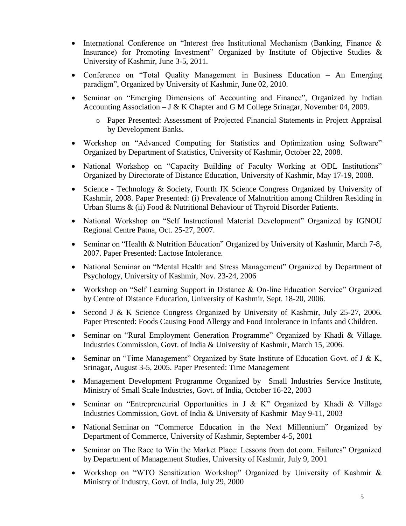- International Conference on "Interest free Institutional Mechanism (Banking, Finance & Insurance) for Promoting Investment" Organized by Institute of Objective Studies & University of Kashmir, June 3-5, 2011.
- Conference on "Total Quality Management in Business Education An Emerging paradigm", Organized by University of Kashmir, June 02, 2010.
- Seminar on "Emerging Dimensions of Accounting and Finance", Organized by Indian Accounting Association – J & K Chapter and G M College Srinagar, November 04, 2009.
	- o Paper Presented: Assessment of Projected Financial Statements in Project Appraisal by Development Banks.
- Workshop on "Advanced Computing for Statistics and Optimization using Software" Organized by Department of Statistics, University of Kashmir, October 22, 2008.
- National Workshop on "Capacity Building of Faculty Working at ODL Institutions" Organized by Directorate of Distance Education, University of Kashmir, May 17-19, 2008.
- Science Technology & Society, Fourth JK Science Congress Organized by University of Kashmir, 2008. Paper Presented: (i) Prevalence of Malnutrition among Children Residing in Urban Slums & (ii) Food & Nutritional Behaviour of Thyroid Disorder Patients.
- National Workshop on "Self Instructional Material Development" Organized by IGNOU Regional Centre Patna, Oct. 25-27, 2007.
- Seminar on "Health & Nutrition Education" Organized by University of Kashmir, March 7-8, 2007. Paper Presented: Lactose Intolerance.
- National Seminar on "Mental Health and Stress Management" Organized by Department of Psychology, University of Kashmir, Nov. 23-24, 2006
- Workshop on "Self Learning Support in Distance & On-line Education Service" Organized by Centre of Distance Education, University of Kashmir, Sept. 18-20, 2006.
- Second J & K Science Congress Organized by University of Kashmir, July 25-27, 2006. Paper Presented: Foods Causing Food Allergy and Food Intolerance in Infants and Children.
- Seminar on "Rural Employment Generation Programme" Organized by Khadi & Village. Industries Commission, Govt. of India & University of Kashmir, March 15, 2006.
- Seminar on "Time Management" Organized by State Institute of Education Govt. of J & K, Srinagar, August 3-5, 2005. Paper Presented: Time Management
- Management Development Programme Organized by Small Industries Service Institute, Ministry of Small Scale Industries, Govt. of India, October 16-22, 2003
- Seminar on "Entrepreneurial Opportunities in J & K" Organized by Khadi & Village Industries Commission, Govt. of India & University of Kashmir May 9-11, 2003
- National Seminar on "Commerce Education in the Next Millennium" Organized by Department of Commerce, University of Kashmir, September 4-5, 2001
- Seminar on The Race to Win the Market Place: Lessons from dot.com. Failures" Organized by Department of Management Studies, University of Kashmir, July 9, 2001
- Workshop on "WTO Sensitization Workshop" Organized by University of Kashmir & Ministry of Industry, Govt. of India, July 29, 2000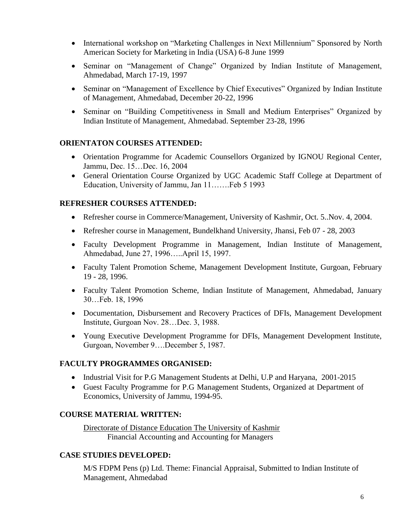- International workshop on "Marketing Challenges in Next Millennium" Sponsored by North American Society for Marketing in India (USA) 6-8 June 1999
- Seminar on "Management of Change" Organized by Indian Institute of Management, Ahmedabad, March 17-19, 1997
- Seminar on "Management of Excellence by Chief Executives" Organized by Indian Institute of Management, Ahmedabad, December 20-22, 1996
- Seminar on "Building Competitiveness in Small and Medium Enterprises" Organized by Indian Institute of Management, Ahmedabad. September 23-28, 1996

## **ORIENTATON COURSES ATTENDED:**

- Orientation Programme for Academic Counsellors Organized by IGNOU Regional Center, Jammu, Dec. 15…Dec. 16, 2004
- General Orientation Course Organized by UGC Academic Staff College at Department of Education, University of Jammu, Jan 11…….Feb 5 1993

## **REFRESHER COURSES ATTENDED:**

- Refresher course in Commerce/Management, University of Kashmir, Oct. 5..Nov. 4, 2004.
- Refresher course in Management, Bundelkhand University, Jhansi, Feb 07 28, 2003
- Faculty Development Programme in Management, Indian Institute of Management, Ahmedabad, June 27, 1996…..April 15, 1997.
- Faculty Talent Promotion Scheme, Management Development Institute, Gurgoan, February 19 - 28, 1996.
- Faculty Talent Promotion Scheme, Indian Institute of Management, Ahmedabad, January 30…Feb. 18, 1996
- Documentation, Disbursement and Recovery Practices of DFIs, Management Development Institute, Gurgoan Nov. 28…Dec. 3, 1988.
- Young Executive Development Programme for DFIs, Management Development Institute, Gurgoan, November 9….December 5, 1987.

## **FACULTY PROGRAMMES ORGANISED:**

- Industrial Visit for P.G Management Students at Delhi, U.P and Haryana, 2001-2015
- Guest Faculty Programme for P.G Management Students, Organized at Department of Economics, University of Jammu, 1994-95.

## **COURSE MATERIAL WRITTEN:**

Directorate of Distance Education The University of Kashmir Financial Accounting and Accounting for Managers

## **CASE STUDIES DEVELOPED:**

M/S FDPM Pens (p) Ltd. Theme: Financial Appraisal, Submitted to Indian Institute of Management, Ahmedabad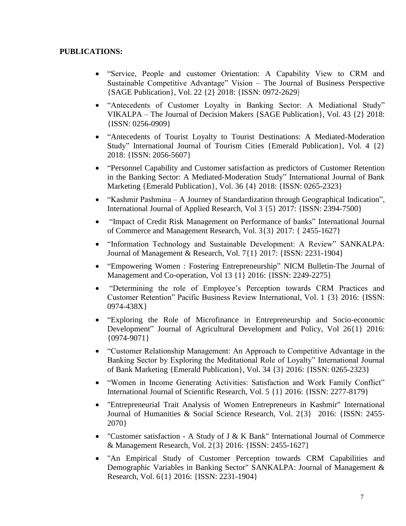## **PUBLICATIONS:**

- "Service, People and customer Orientation: A Capability View to CRM and Sustainable Competitive Advantage" Vision – The Journal of Business Perspective {SAGE Publication}, Vol. 22 {2} 2018: {ISSN: 0972-2629}
- "Antecedents of Customer Loyalty in Banking Sector: A Mediational Study" VIKALPA – The Journal of Decision Makers {SAGE Publication}, Vol. 43 {2} 2018: {ISSN: 0256-0909}
- "Antecedents of Tourist Loyalty to Tourist Destinations: A Mediated-Moderation Study" International Journal of Tourism Cities {Emerald Publication}, Vol. 4 {2} 2018: {ISSN: 2056-5607}
- "Personnel Capability and Customer satisfaction as predictors of Customer Retention in the Banking Sector: A Mediated-Moderation Study" International Journal of Bank Marketing {Emerald Publication}, Vol. 36 {4} 2018: {ISSN: 0265-2323}
- "Kashmir Pashmina A Journey of Standardization through Geographical Indication", International Journal of Applied Research, Vol 3 {5} 2017: {ISSN: 2394-7500}
- "Impact of Credit Risk Management on Performance of banks" International Journal of Commerce and Management Research, Vol. 3{3} 2017: { 2455-1627}
- "Information Technology and Sustainable Development: A Review" SANKALPA: Journal of Management & Research, Vol. 7{1} 2017: {ISSN: 2231-1904}
- "Empowering Women : Fostering Entrepreneurship" NICM Bulletin-The Journal of Management and Co-operation, Vol 13 {1} 2016: {ISSN: 2249-2275}
- "Determining the role of Employee's Perception towards CRM Practices and Customer Retention" Pacific Business Review International, Vol. 1 {3} 2016: {ISSN: 0974-438X}
- "Exploring the Role of Microfinance in Entrepreneurship and Socio-economic Development" Journal of Agricultural Development and Policy, Vol 26{1} 2016: {0974-9071}
- "Customer Relationship Management: An Approach to Competitive Advantage in the Banking Sector by Exploring the Meditational Role of Loyalty" International Journal of Bank Marketing {Emerald Publication}, Vol. 34 {3} 2016: {ISSN: 0265-2323}
- "Women in Income Generating Activities: Satisfaction and Work Family Conflict" International Journal of Scientific Research, Vol. 5 {1} 2016: {ISSN: 2277-8179}
- "Entrepreneurial Trait Analysis of Women Entrepreneurs in Kashmir" International Journal of Humanities & Social Science Research, Vol. 2{3} 2016: {ISSN: 2455- 2070}
- "Customer satisfaction A Study of J & K Bank" International Journal of Commerce & Management Research, Vol. 2{3} 2016: {ISSN: 2455-1627}
- "An Empirical Study of Customer Perception towards CRM Capabilities and Demographic Variables in Banking Sector" SANKALPA: Journal of Management & Research, Vol. 6{1} 2016: {ISSN: 2231-1904}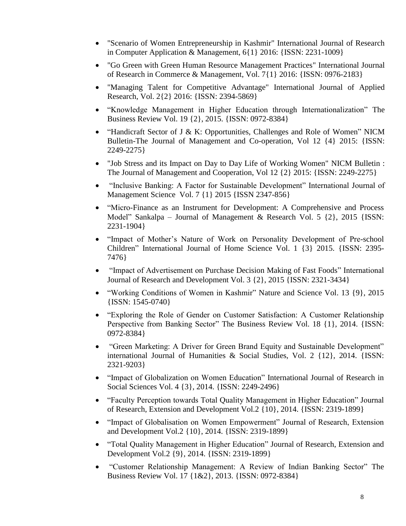- "Scenario of Women Entrepreneurship in Kashmir" International Journal of Research in Computer Application & Management, 6{1} 2016: {ISSN: 2231-1009}
- "Go Green with Green Human Resource Management Practices" International Journal of Research in Commerce & Management, Vol. 7{1} 2016: {ISSN: 0976-2183}
- "Managing Talent for Competitive Advantage" International Journal of Applied Research, Vol. 2{2} 2016: {ISSN: 2394-5869}
- "Knowledge Management in Higher Education through Internationalization" The Business Review Vol. 19 {2}, 2015. {ISSN: 0972-8384}
- "Handicraft Sector of J & K: Opportunities, Challenges and Role of Women" NICM Bulletin-The Journal of Management and Co-operation, Vol 12 {4} 2015: {ISSN: 2249-2275}
- "Job Stress and its Impact on Day to Day Life of Working Women" NICM Bulletin : The Journal of Management and Cooperation, Vol 12 {2} 2015: {ISSN: 2249-2275}
- "Inclusive Banking: A Factor for Sustainable Development" International Journal of Management Science Vol. 7 {1} 2015 {ISSN 2347-856}
- "Micro-Finance as an Instrument for Development: A Comprehensive and Process Model" Sankalpa – Journal of Management & Research Vol. 5 {2}, 2015 {ISSN: 2231-1904}
- "Impact of Mother's Nature of Work on Personality Development of Pre-school Children" International Journal of Home Science Vol. 1 {3} 2015. {ISSN: 2395- 7476}
- "Impact of Advertisement on Purchase Decision Making of Fast Foods" International Journal of Research and Development Vol. 3 {2}, 2015 {ISSN: 2321-3434}
- "Working Conditions of Women in Kashmir" Nature and Science Vol. 13 {9}, 2015 {ISSN: 1545-0740}
- "Exploring the Role of Gender on Customer Satisfaction: A Customer Relationship Perspective from Banking Sector" The Business Review Vol. 18  $\{1\}$ , 2014. {ISSN: 0972-8384}
- "Green Marketing: A Driver for Green Brand Equity and Sustainable Development" international Journal of Humanities & Social Studies, Vol. 2 {12}, 2014. {ISSN: 2321-9203}
- "Impact of Globalization on Women Education" International Journal of Research in Social Sciences Vol. 4 {3}, 2014. {ISSN: 2249-2496}
- "Faculty Perception towards Total Quality Management in Higher Education" Journal of Research, Extension and Development Vol.2 {10}, 2014. {ISSN: 2319-1899}
- "Impact of Globalisation on Women Empowerment" Journal of Research, Extension and Development Vol.2 {10}, 2014. {ISSN: 2319-1899}
- "Total Quality Management in Higher Education" Journal of Research, Extension and Development Vol.2 {9}, 2014. {ISSN: 2319-1899}
- "Customer Relationship Management: A Review of Indian Banking Sector" The Business Review Vol. 17 {1&2}, 2013. {ISSN: 0972-8384}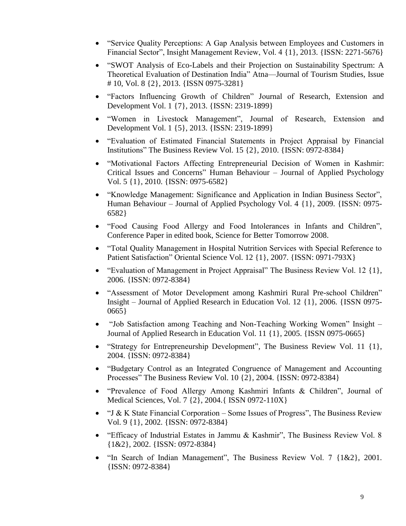- "Service Quality Perceptions: A Gap Analysis between Employees and Customers in Financial Sector", Insight Management Review, Vol. 4 {1}, 2013. {ISSN: 2271-5676}
- "SWOT Analysis of Eco-Labels and their Projection on Sustainability Spectrum: A Theoretical Evaluation of Destination India" Atna—Journal of Tourism Studies, Issue # 10, Vol. 8 {2}, 2013. {ISSN 0975-3281}
- "Factors Influencing Growth of Children" Journal of Research, Extension and Development Vol. 1 {7}, 2013. {ISSN: 2319-1899}
- "Women in Livestock Management", Journal of Research, Extension and Development Vol. 1 {5}, 2013. {ISSN: 2319-1899}
- "Evaluation of Estimated Financial Statements in Project Appraisal by Financial Institutions" The Business Review Vol. 15 {2}, 2010. {ISSN: 0972-8384}
- "Motivational Factors Affecting Entrepreneurial Decision of Women in Kashmir: Critical Issues and Concerns" Human Behaviour – Journal of Applied Psychology Vol. 5 {1}, 2010. {ISSN: 0975-6582}
- "Knowledge Management: Significance and Application in Indian Business Sector", Human Behaviour – Journal of Applied Psychology Vol. 4 {1}, 2009. {ISSN: 0975- 6582}
- "Food Causing Food Allergy and Food Intolerances in Infants and Children", Conference Paper in edited book, Science for Better Tomorrow 2008.
- "Total Quality Management in Hospital Nutrition Services with Special Reference to Patient Satisfaction" Oriental Science Vol. 12 {1}, 2007. {ISSN: 0971-793X}
- "Evaluation of Management in Project Appraisal" The Business Review Vol. 12 {1}, 2006. {ISSN: 0972-8384}
- "Assessment of Motor Development among Kashmiri Rural Pre-school Children" Insight – Journal of Applied Research in Education Vol. 12 {1}, 2006. {ISSN 0975- 0665}
- "Job Satisfaction among Teaching and Non-Teaching Working Women" Insight Journal of Applied Research in Education Vol. 11 {1}, 2005. {ISSN 0975-0665}
- "Strategy for Entrepreneurship Development", The Business Review Vol. 11 {1}, 2004. {ISSN: 0972-8384}
- "Budgetary Control as an Integrated Congruence of Management and Accounting Processes" The Business Review Vol. 10 {2}, 2004. {ISSN: 0972-8384}
- "Prevalence of Food Allergy Among Kashmiri Infants & Children", Journal of Medical Sciences, Vol. 7 {2}, 2004.{ ISSN 0972-110X}
- "J & K State Financial Corporation Some Issues of Progress", The Business Review Vol. 9 {1}, 2002. {ISSN: 0972-8384}
- "Efficacy of Industrial Estates in Jammu & Kashmir", The Business Review Vol. 8 {1&2}, 2002. {ISSN: 0972-8384}
- "In Search of Indian Management", The Business Review Vol. 7 {1&2}, 2001. {ISSN: 0972-8384}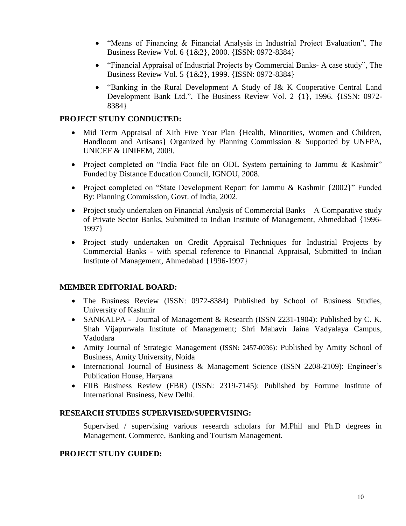- "Means of Financing & Financial Analysis in Industrial Project Evaluation", The Business Review Vol. 6 {1&2}, 2000. {ISSN: 0972-8384}
- "Financial Appraisal of Industrial Projects by Commercial Banks- A case study", The Business Review Vol. 5 {1&2}, 1999. {ISSN: 0972-8384}
- "Banking in the Rural Development–A Study of J& K Cooperative Central Land Development Bank Ltd.", The Business Review Vol. 2 {1}, 1996. {ISSN: 0972- 8384}

# **PROJECT STUDY CONDUCTED:**

- Mid Term Appraisal of XIth Five Year Plan {Health, Minorities, Women and Children, Handloom and Artisans} Organized by Planning Commission & Supported by UNFPA, UNICEF & UNIFEM, 2009.
- Project completed on "India Fact file on ODL System pertaining to Jammu & Kashmir" Funded by Distance Education Council, IGNOU, 2008.
- Project completed on "State Development Report for Jammu & Kashmir {2002}" Funded By: Planning Commission, Govt. of India, 2002.
- Project study undertaken on Financial Analysis of Commercial Banks A Comparative study of Private Sector Banks, Submitted to Indian Institute of Management, Ahmedabad {1996- 1997}
- Project study undertaken on Credit Appraisal Techniques for Industrial Projects by Commercial Banks - with special reference to Financial Appraisal, Submitted to Indian Institute of Management, Ahmedabad {1996-1997}

## **MEMBER EDITORIAL BOARD:**

- The Business Review (ISSN: 0972-8384) Published by School of Business Studies, University of Kashmir
- SANKALPA Journal of Management & Research (ISSN 2231-1904): Published by C. K. Shah Vijapurwala Institute of Management; Shri Mahavir Jaina Vadyalaya Campus, Vadodara
- Amity Journal of Strategic Management (ISSN: 2457-0036): Published by Amity School of Business, Amity University, Noida
- International Journal of Business & Management Science (ISSN 2208-2109): Engineer's Publication House, Haryana
- FIIB Business Review (FBR) (ISSN: 2319-7145): Published by Fortune Institute of International Business, New Delhi.

#### **RESEARCH STUDIES SUPERVISED/SUPERVISING:**

Supervised / supervising various research scholars for M.Phil and Ph.D degrees in Management, Commerce, Banking and Tourism Management.

## **PROJECT STUDY GUIDED:**